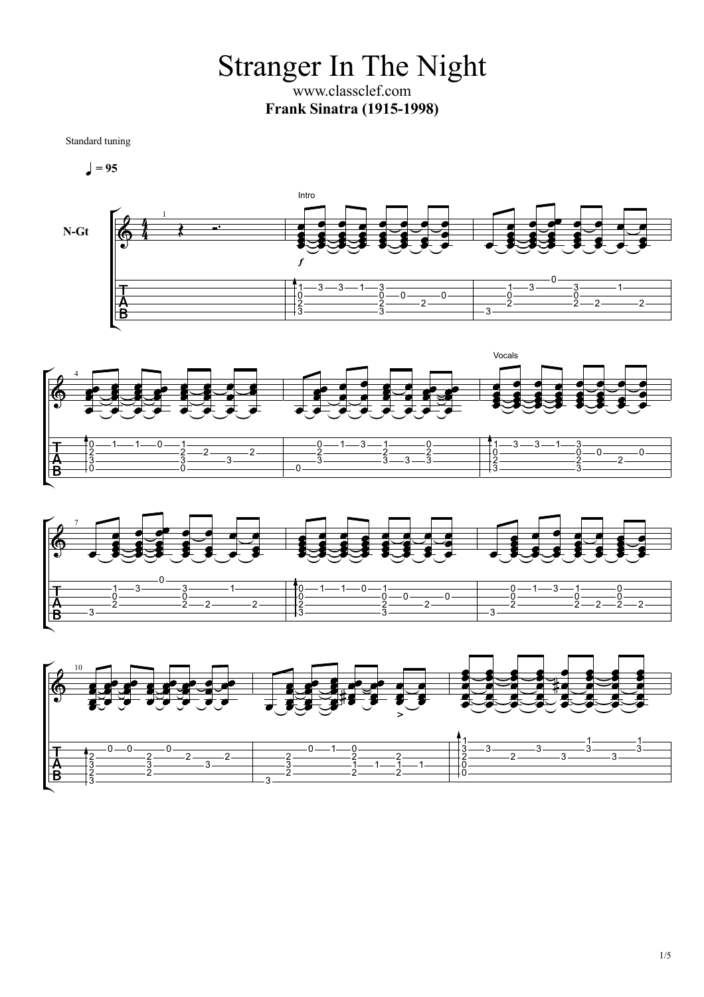Stranger In The Night www.classclef.com **Frank Sinatra (1915-1998)**

Standard tuning









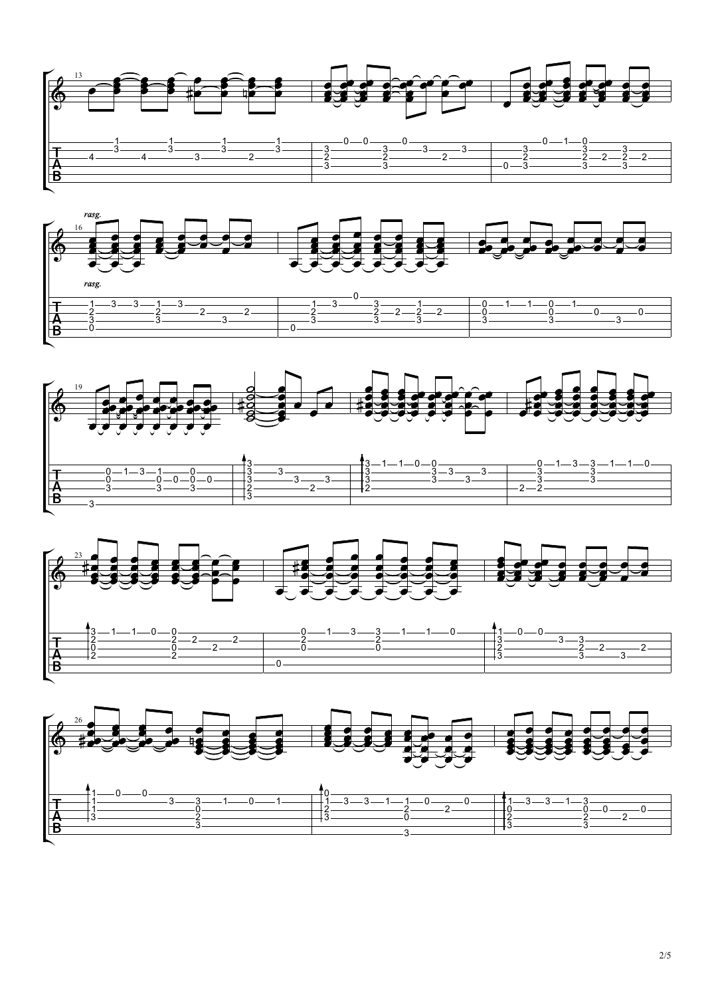







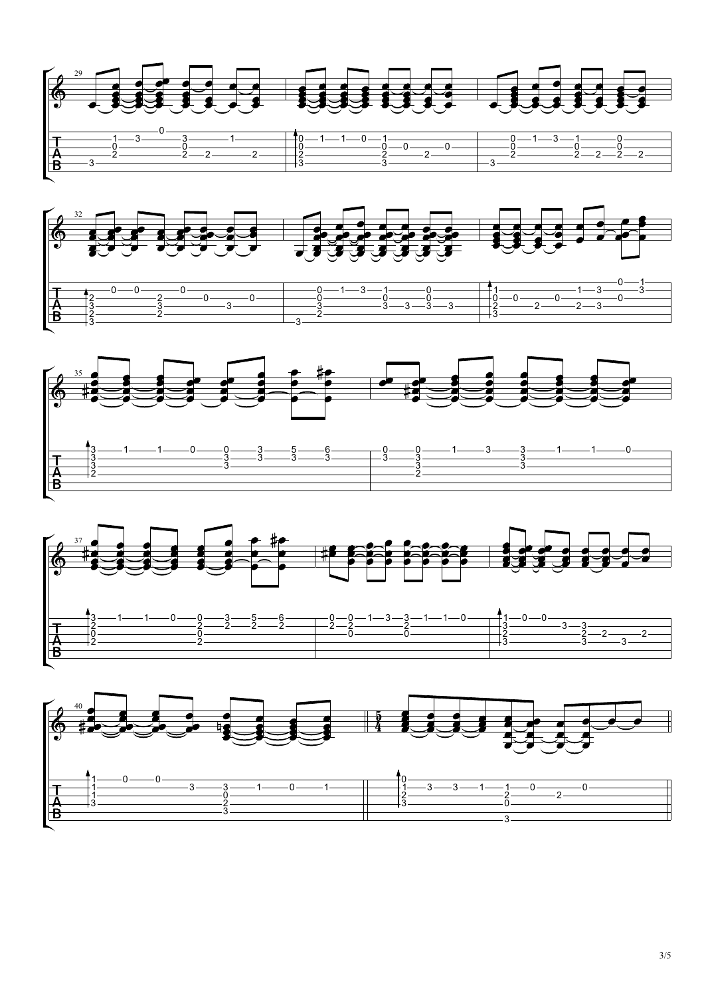







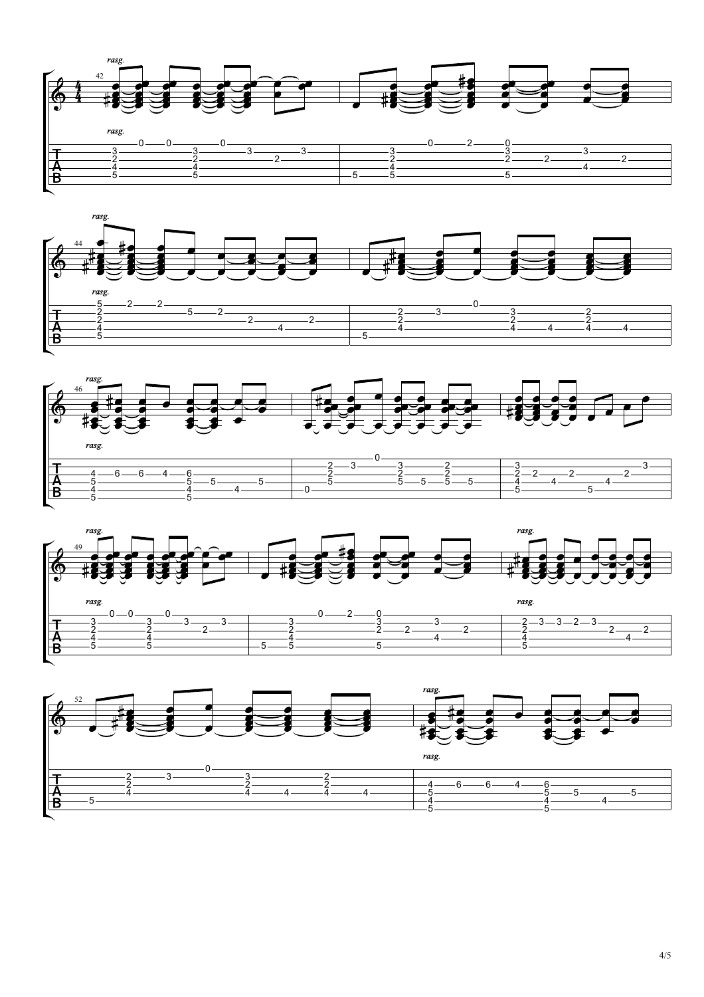